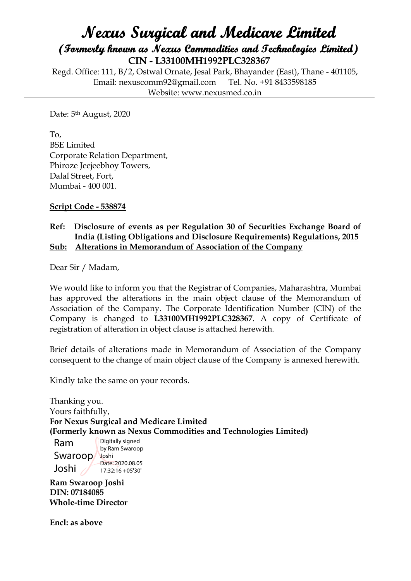## **Nexus Surgical and Medicare Limited (Formerly known as Nexus Commodities and Technologies Limited) CIN - L33100MH1992PLC328367**

Regd. Office: 111, B/2, Ostwal Ornate, Jesal Park, Bhayander (East), Thane - 401105, Email: nexuscomm92@gmail.com Tel. No. +91 8433598185 Website: www.nexusmed.co.in

Date: 5th August, 2020

To, BSE Limited Corporate Relation Department, Phiroze Jeejeebhoy Towers, Dalal Street, Fort, Mumbai - 400 001.

**Script Code - 538874**

#### **Ref: Disclosure of events as per Regulation 30 of Securities Exchange Board of India (Listing Obligations and Disclosure Requirements) Regulations, 2015 Sub: Alterations in Memorandum of Association of the Company**

Dear Sir / Madam,

We would like to inform you that the Registrar of Companies, Maharashtra, Mumbai has approved the alterations in the main object clause of the Memorandum of Association of the Company. The Corporate Identification Number (CIN) of the Company is changed to **L33100MH1992PLC328367**. A copy of Certificate of registration of alteration in object clause is attached herewith.

Brief details of alterations made in Memorandum of Association of the Company consequent to the change of main object clause of the Company is annexed herewith.

Kindly take the same on your records.

Thanking you. Yours faithfully, **For Nexus Surgical and Medicare Limited (Formerly known as Nexus Commodities and Technologies Limited)**

Ram Swaroop Joshi Joshi Digitally signed by Ram Swaroop Date: 2020.08.05 17:32:16 +05'30'

**Ram Swaroop Joshi DIN: 07184085 Whole-time Director**

**Encl: as above**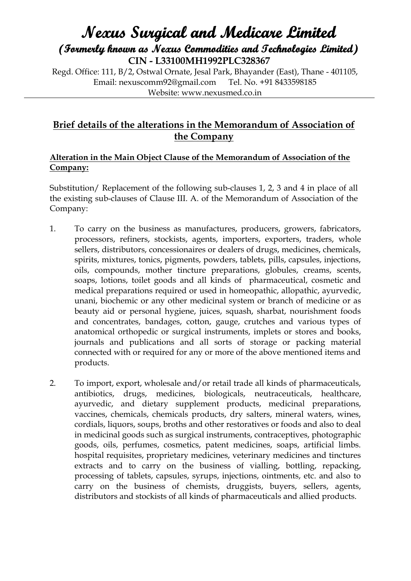# **Nexus Surgical and Medicare Limited (Formerly known as Nexus Commodities and Technologies Limited) CIN - L33100MH1992PLC328367**

Regd. Office: 111, B/2, Ostwal Ornate, Jesal Park, Bhayander (East), Thane - 401105, Email: nexuscomm92@gmail.com Tel. No. +91 8433598185 Website: www.nexusmed.co.in

### **Brief details of the alterations in the Memorandum of Association of the Company**

#### **Alteration in the Main Object Clause of the Memorandum of Association of the Company:**

Substitution/ Replacement of the following sub-clauses 1, 2, 3 and 4 in place of all the existing sub-clauses of Clause III. A. of the Memorandum of Association of the Company:

- 1. To carry on the business as manufactures, producers, growers, fabricators, processors, refiners, stockists, agents, importers, exporters, traders, whole sellers, distributors, concessionaires or dealers of drugs, medicines, chemicals, spirits, mixtures, tonics, pigments, powders, tablets, pills, capsules, injections, oils, compounds, mother tincture preparations, globules, creams, scents, soaps, lotions, toilet goods and all kinds of pharmaceutical, cosmetic and medical preparations required or used in homeopathic, allopathic, ayurvedic, unani, biochemic or any other medicinal system or branch of medicine or as beauty aid or personal hygiene, juices, squash, sharbat, nourishment foods and concentrates, bandages, cotton, gauge, crutches and various types of anatomical orthopedic or surgical instruments, implets or stores and books, journals and publications and all sorts of storage or packing material connected with or required for any or more of the above mentioned items and products.
- 2. To import, export, wholesale and/or retail trade all kinds of pharmaceuticals, antibiotics, drugs, medicines, biologicals, neutraceuticals, healthcare, ayurvedic, and dietary supplement products, medicinal preparations, vaccines, chemicals, chemicals products, dry salters, mineral waters, wines, cordials, liquors, soups, broths and other restoratives or foods and also to deal in medicinal goods such as surgical instruments, contraceptives, photographic goods, oils, perfumes, cosmetics, patent medicines, soaps, artificial limbs. hospital requisites, proprietary medicines, veterinary medicines and tinctures extracts and to carry on the business of vialling, bottling, repacking, processing of tablets, capsules, syrups, injections, ointments, etc. and also to carry on the business of chemists, druggists, buyers, sellers, agents, distributors and stockists of all kinds of pharmaceuticals and allied products.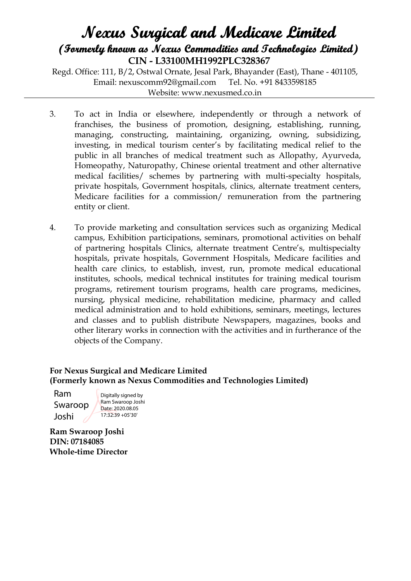### **Nexus Surgical and Medicare Limited (Formerly known as Nexus Commodities and Technologies Limited) CIN - L33100MH1992PLC328367**

Regd. Office: 111, B/2, Ostwal Ornate, Jesal Park, Bhayander (East), Thane - 401105, Email: nexuscomm92@gmail.com Tel. No. +91 8433598185 Website: www.nexusmed.co.in

- 3. To act in India or elsewhere, independently or through a network of franchises, the business of promotion, designing, establishing, running, managing, constructing, maintaining, organizing, owning, subsidizing, investing, in medical tourism center's by facilitating medical relief to the public in all branches of medical treatment such as Allopathy, Ayurveda, Homeopathy, Naturopathy, Chinese oriental treatment and other alternative medical facilities/ schemes by partnering with multi-specialty hospitals, private hospitals, Government hospitals, clinics, alternate treatment centers, Medicare facilities for a commission/ remuneration from the partnering entity or client.
- 4. To provide marketing and consultation services such as organizing Medical campus, Exhibition participations, seminars, promotional activities on behalf of partnering hospitals Clinics, alternate treatment Centre's, multispecialty hospitals, private hospitals, Government Hospitals, Medicare facilities and health care clinics, to establish, invest, run, promote medical educational institutes, schools, medical technical institutes for training medical tourism programs, retirement tourism programs, health care programs, medicines, nursing, physical medicine, rehabilitation medicine, pharmacy and called medical administration and to hold exhibitions, seminars, meetings, lectures and classes and to publish distribute Newspapers, magazines, books and other literary works in connection with the activities and in furtherance of the objects of the Company.

#### **For Nexus Surgical and Medicare Limited (Formerly known as Nexus Commodities and Technologies Limited)**

Ram Swaroop Joshi

Digitally signed by Ram Swaroop Joshi Date: 2020.08.05 17:32:39 +05'30'

**Ram Swaroop Joshi DIN: 07184085 Whole-time Director**